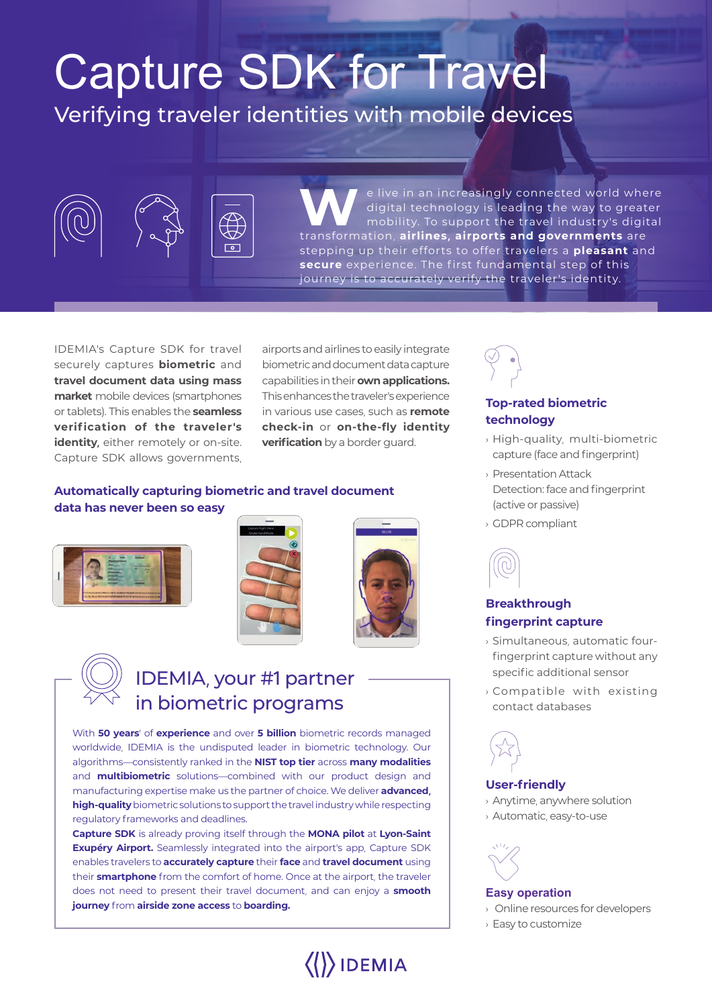# Capture SDK for Travel

# Verifying traveler identities with mobile devices



e live in an increasingly connected world where<br>
digital technology is leading the way to greater<br>
mobility. To support the travel industry's digital<br>
transformation sitlings simpaths and consequents are digital technology is leading the way to greater transformation, **airlines, airports and governments** are stepping up their efforts to offer travelers a **pleasant** and secure experience. The first fundamental step of this journey is to accurately verify the traveler's identity.

IDEMIA's Capture SDK for travel securely captures **biometric** and **travel document data using mass market** mobile devices (smartphones or tablets). This enables the **seamless verif ication of the traveler's**  *identity*, either remotely or on-site. Capture SDK allows governments,

airports and airlines to easily integrate biometric and document data capture capabilities in their **own applications.**  This enhances the traveler's experience in various use cases, such as **remote check-in** or **on-the-fly identity verification** by a border quard.

#### **Automatically capturing biometric and travel document data has never been so easy**







 $\langle\langle\rangle\rangle$ IDEMIA

# IDEMIA, your #1 partner in biometric programs

With **50 years**' of **experience** and over **5 billion** biometric records managed worldwide, IDEMIA is the undisputed leader in biometric technology. Our algorithms―consistently ranked in the **NIST top tier** across **many modalities**  and **multibiometric** solutions―combined with our product design and manufacturing expertise make us the partner of choice. We deliver **advanced, high-quality** biometric solutions to support the travel industry while respecting regulatory frameworks and deadlines.

**Capture SDK** is already proving itself through the **MONA pilot** at **Lyon-Saint Exupéry Airport.** Seamlessly integrated into the airport's app, Capture SDK enables travelers to **accurately capture** their **face** and **travel document** using their **smartphone** from the comfort of home. Once at the airport, the traveler does not need to present their travel document, and can enjoy a **smooth journey** from **airside zone access** to **boarding.**



# **Top-rated biometric technology**

- › High-quality, multi-biometric capture (face and fingerprint)
- › Presentation Attack Detection: face and fingerprint (active or passive)
- › GDPR compliant



## **Breakthrough fingerprint capture**

- › Simultaneous, automatic fourfingerprint capture without any specific additional sensor
- › Compatible with existing contact databases



## **User-friendly**

- › Anytime, anywhere solution
- › Automatic, easy-to-use



#### **Easy operation**

- › Online resources for developers
- › Easy to customize